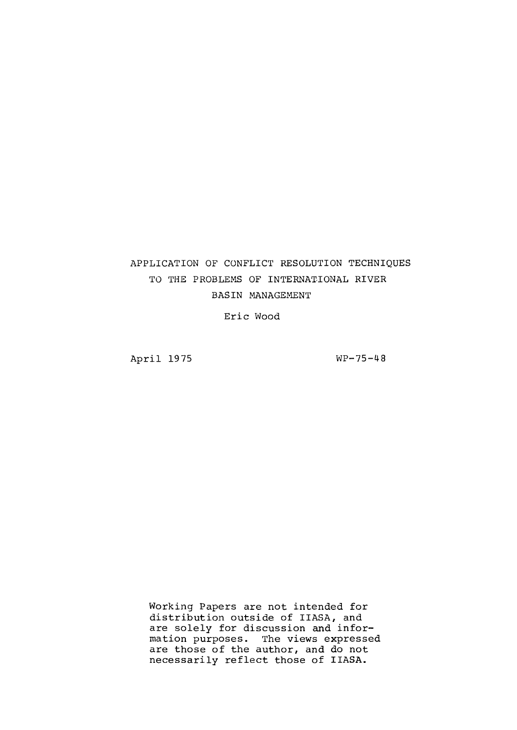# APPLICATION OF CONFLICT RESOLUTION TECHNIQUES TO THE PROBLEMS OF INTERNATIONAL RIVER BASIN MANAGEMENT

Eric Wood

April 1975 WP-75-48

Working Papers are not intended for distribution outside of IIASA, and are solely for discussion and information purposes. The views expressed are those of the author, and do not necessarily reflect those of IIASA.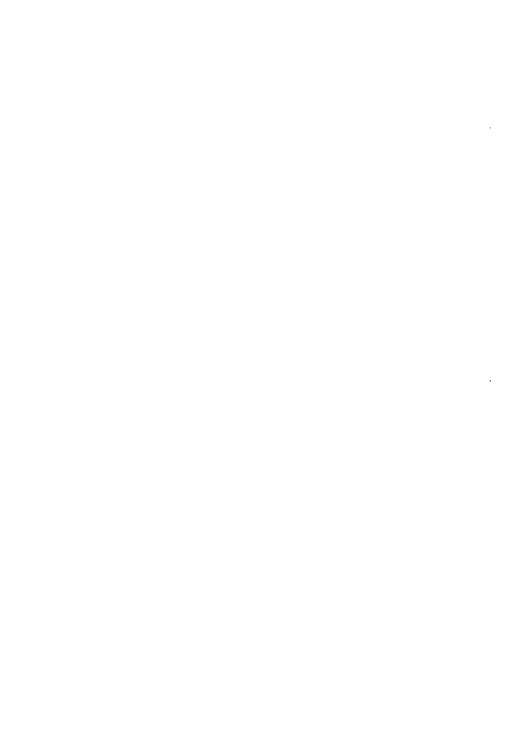$\epsilon$  $\star$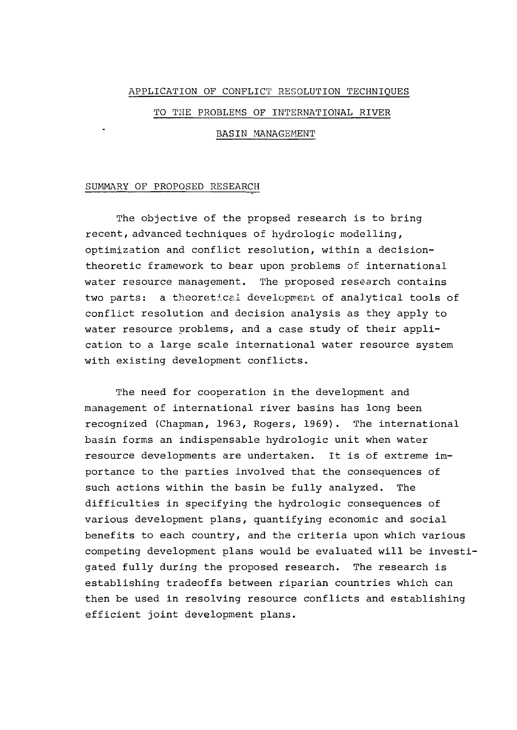#### APPLICATION OF CONFLICT RESOLUTION TECHNIQUES

#### TO THE PROBLEMS OF INTERNATIONAL RIVER

BASIN MANAGEMENT

## SUMMARY OF PROPOSED RESEARCH

The objective of the propsed research is to bring recent, advanced techniques of hydrologic modelling, optimization and conflict resolution, within <sup>a</sup> decisiontheoretic framework to bear upon problems of international water resource management. The proposed research contains two parts: a theoretical development of analytical tools of conflict resolution and decision analysis as they apply to water resource problems, and <sup>a</sup> case study of their application to a large scale international water resource system with existing development conflicts.

The need for cooperation in the development and management of international river basins has long been recognized (Chapman, 1963, Rogers, 1969). The international basin forms an indispensable hydrologic unit when water resource developments are undertaken. It is of extreme importance to the parties involved that the consequences of such actions within the basin be fully analyzed. The difficulties in specifying the hydrologic consequences of various development plans, quantifying economic and social benefits to each country, and the criteria upon which various competing development plans would be evaluated will be investigated fully during the proposed research. The research is establishing tradeoffs between riparian countries which can then be used in resolving resource conflicts and establishing efficient joint development plans.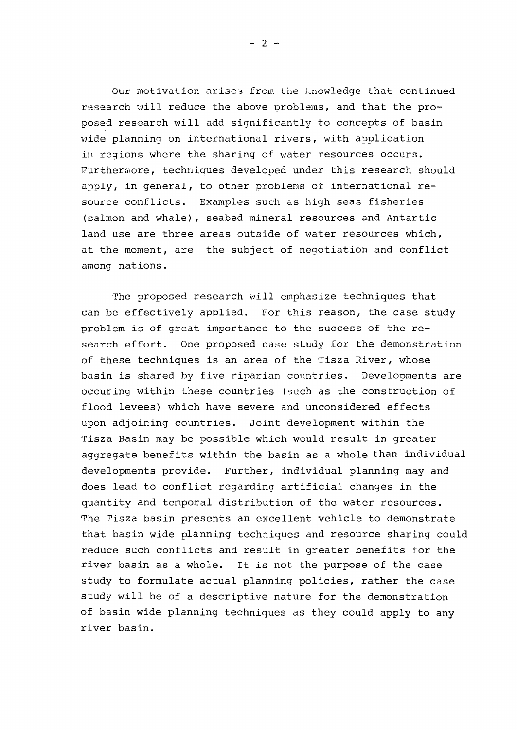Our motivation arises from the knowledge that continued research will reduce the above problems, and that the proposed research will add significantly to concepts of basin wide planning on international rivers, with application in regions where the sharing of water resources occurs. Furthermore, techniques developed under this research should apply, in general, to other problems of international resource conflicts. Examples such as high seas fisheries (salmon and whale), seabed mineral resources and Antartic land use are three areas outside of water resources which, at the moment, are the subject of negotiation and conflict among nations.

The proposed research will emphasize techniques that can be effectively applied. For this reason, the case study problem is of great importance to the success of the research effort. One proposed case study for the demonstration of these techniques is an area of the Tisza River, whose basin is shared by five riparian countries. Developments are occuring within these countries (such as the construction of flood levees) which have severe and unconsidered effects upon adjoining countries. Joint development within the Tisza Basin may be possible which would result in greater aggregate benefits within the basin as a whole than individual developments provide. Further, individual planning may and does lead to conflict regarding artificial changes in the quantity and temporal distribution of the water resources. The Tisza basin presents an excellent vehicle to demonstrate that basin wide planning techniques and resource sharing could reduce such conflicts and result in greater benefits for the river basin as <sup>a</sup> whole. It is not the purpose of the case study to formulate actual planning policies, rather the case study will be of a descriptive nature for the demonstration of basin wide planning techniques as they could apply to any river basin.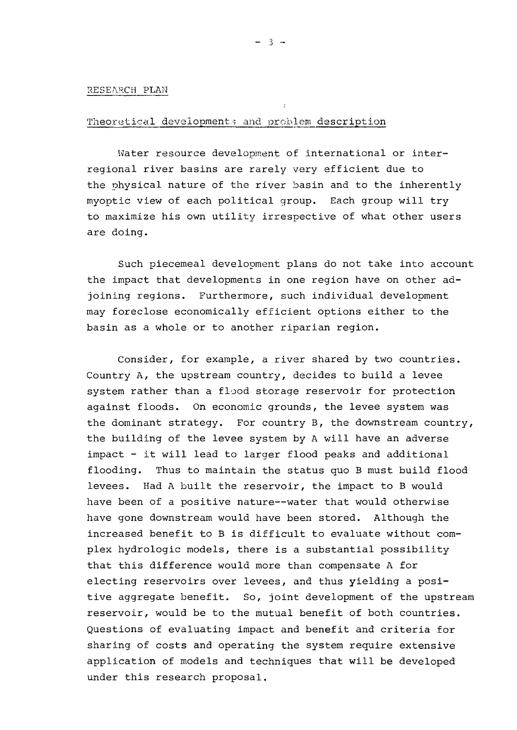#### RESEARCH PLAN

## Theoretical developments and problem description

Water resource development of international or interregional river basins are rarely very efficient due to the physical nature of the river basin and to the inherently myoptic view of each political group. Each group will try to maximize his own utility irrespective of what other users are doing.

Such piecemeal development plans do not take into account the impact that developments in one region have on other adjoining regions. Furthermore, such individual development may foreclose economically efficient options either to the basin as a whole or to another riparian region.

Consider, for example, <sup>a</sup> river shared by two countries. Country A, the upstream country, decides to build a levee system rather than a flood storage reservoir for protection against floods. On economic grounds, the levee system was the dominant strategy. For country B, the downstream country, the building of the levee system by A will have an adverse impact - it will lead to larger flood peaks and additional flooding. Thus to maintain the status quo B must build flood levees. Had <sup>A</sup> built the reservoir, the impact to <sup>B</sup> would have been of a positive nature--water that would otherwise have gone downstream would have been stored. Although the increased benefit to <sup>B</sup> is difficult to evaluate without complex hydrologic models, there is <sup>a</sup> substantial possibility that this difference would more than compensate <sup>A</sup> for electing reservoirs over levees, and thus yielding a positive aggregate benefit. So, joint development of the upstream reservoir, would be to the mutual benefit of both countries. Questions of evaluating impact and benefit and criteria for sharing of costs and operating the system require extensive application of models and techniques that will be developed under this research proposal.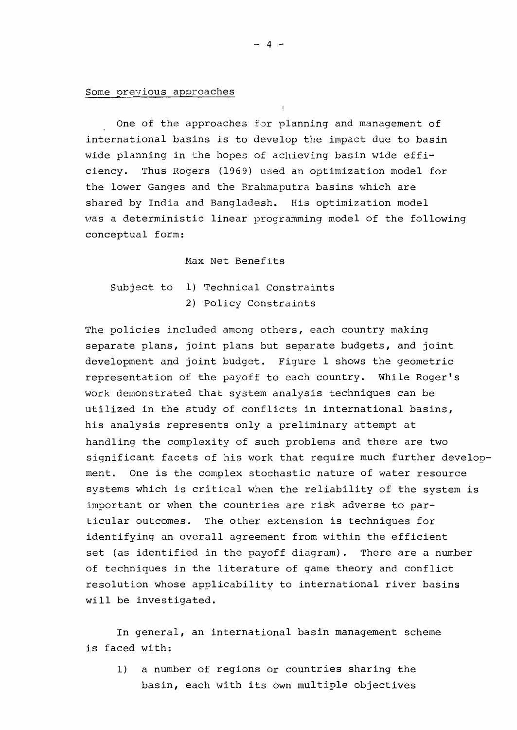#### Some previous approaches

One of the approaches for planning and management of international basins is to develop the impact due to basin wide planning in the hopes of achieving basin wide efficiency. Thus Rogers (1969) used an optimization model for the lower Ganges and the Brahmaputra basins which are shared by India and Bangladesh. His optimization model vas a deterministic linear programming model of the following conceptual form:

Max Net Benefits

Subject to 1) Technical Constraints 2) Policy Constraints

The policies included among others, each country making separate plans, joint plans but separate budgets, and joint development and joint budget. Figure <sup>1</sup> shows the geometric representation of the payoff to each country. While Roger's work demonstrated that system analysis techniques can be utilized in the study of conflicts in international basins, his analysis represents only <sup>a</sup> preliminary attempt at handling the complexity of such problems and there are two significant facets of his work that require much further development. One is the complex stochastic nature of water resource systems which is critical when the reliability of the system is important or when the countries are risk adverse to particular outcomes. The other extension is techniques for identifying an overall agreement from within the efficient set (as identified in the payoff diagram). There are <sup>a</sup> number of techniques in the literature of game theory and conflict resolution whose applicability to international river basins will be investigated.

In general, an international basin management scheme is faced with:

1) a number of regions or countries sharing the basin, each with its own multiple objectives

 $- 4 -$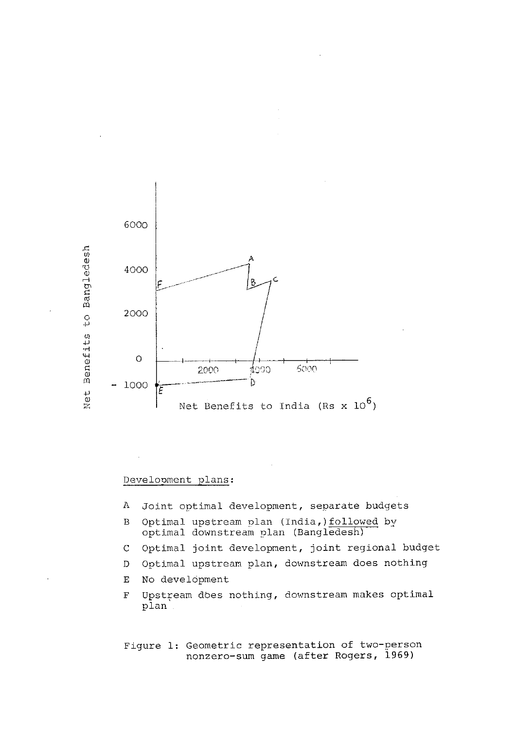

## Development plans:

- Joint optimal development, separate budgets  $\mathbf{A}$
- Optimal upstream plan (India, )followed by  $\mathbf{B}$ optimal downstream plan (Bangledesh)
- Optimal joint development, joint regional budget  $\mathsf{C}$
- Optimal upstream plan, downstream does nothing  $\mathbf D$
- No development  $\mathbf E$
- Upstream does nothing, downstream makes optimal  $\mathbf{F}% _{0}$ plan

Figure 1: Geometric representation of two-person nonzero-sum game (after Rogers, 1969)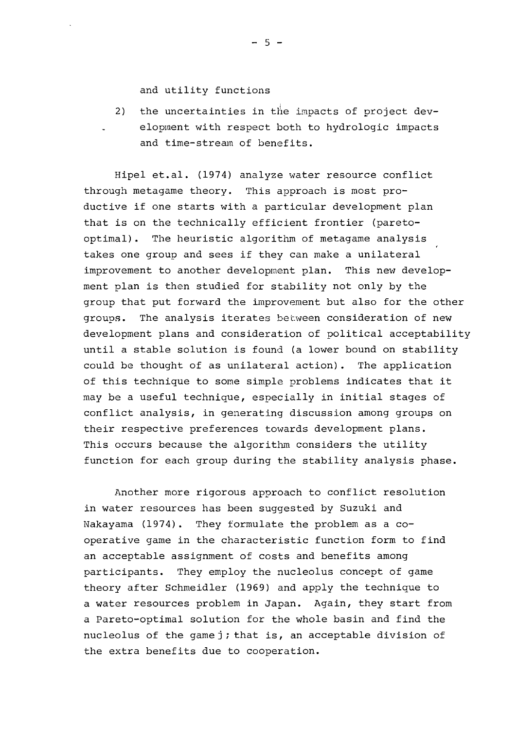and utility functions

2) the uncertainties in the impacts of project development with respect both to hydrologic impacts and time-stream of benefits.

Hipel et.al. (1974) analyze water resource conflict through metagame theory. This approach is most productive if one starts with <sup>a</sup> particular development plan that is on the technically efficient frontier (paretooptimal). The heuristic algorithm of metagame analysis takes one group and sees if they can make <sup>a</sup> unilateral improvement to another development plan. This new development plan is then studied for stability not only by the group that put forward the improvement but also for the other groups. The analysis iterates between consideration of new development plans and consideration of political acceptability until <sup>a</sup> stable solution is found (a lower bound on stability could be thought of as unilateral action). The application of this technique to some simple problems indicates that it may be <sup>a</sup> useful technique, especially in initial stages of conflict analysis, in generating discussion among groups on their respective preferences towards development plans. This occurs because the algorithm considers the utility function for each group during the stability analysis phase.

Another more rigorous approach to conflict resolution in water resources has been suggested by Suzuki and Nakayama (1974). They formulate the problem as a cooperative game in the characteristic function form to find an acceptable assignment of costs and benefits among participants. They employ the nucleolus concept of game theory after Schmeidler (1969) and apply the technique to <sup>a</sup> water resources problem in Japan. Again, they start from a Pareto-optimal solution for the whole basin and find the nucleolus of the game <sup>j</sup> *<sup>i</sup>* that is, an acceptable division of the extra benefits due to cooperation.

 $-5 -$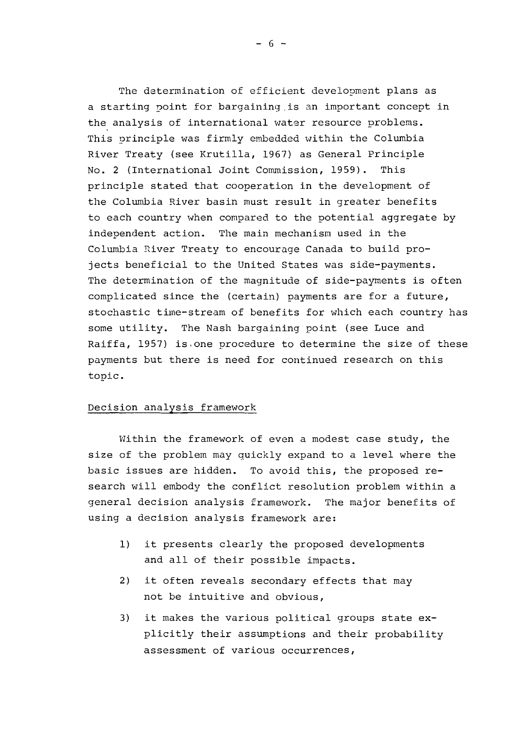The determination of efficient development plans as <sup>a</sup> starting point for bargaining ,is an important concept in the analysis of international water resource problems. This principle was firmly embedded within the Columbia River Treaty (see Krutilla, 1967) as General Principle No. <sup>2</sup> (International Joint Commission, 1959). This principle stated that cooperation in the development of the Columbia River basin must result in greater benefits to each country when compared to the potential aggregate by independent action. The main mechanism used in the Columbia River Treaty to encourage Canada to build projects beneficial to the United States was side-payments. The determination of the magnitude of side-payments is often complicated since the (certain) payments are for a future, stochastic time-stream of benefits for which each country has some utility. The Nash bargaining point (see Luce and Raiffa, 1957) is.one procedure to determine the size of these payments but there is need for continued research on this topic.

## Decision analysis framework

Within the framework of even a modest case study, the size of the problem may quickly expand to <sup>a</sup> level where the basic issues are hidden. To avoid this, the proposed research will embody the conflict resolution problem within <sup>a</sup> general decision analysis framework. The major benefits of using a decision analysis framework are:

- 1) it presents clearly the proposed developments and all of their possible impacts.
- 2) it often reveals secondary effects that may not be intuitive and obvious,
- 3) it makes the various political groups state explicitly their assumptions and their probability assessment of various occurrences,

 $- 6 -$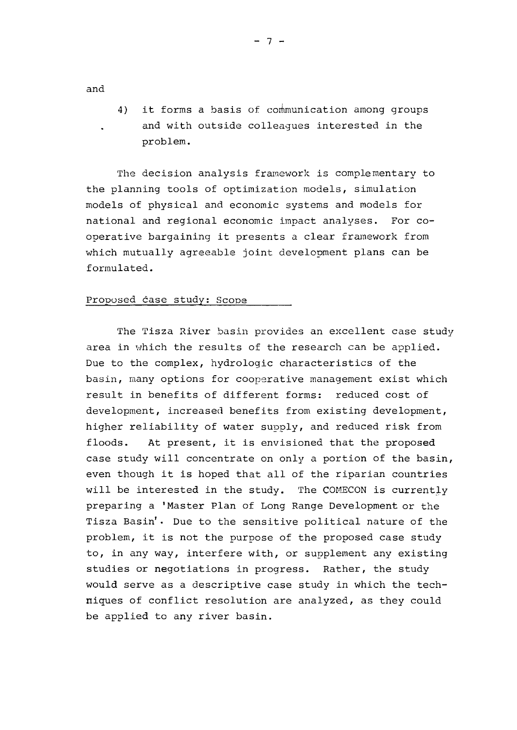and

4) it forms a basis of communication among groups and with outside colleagues interested in the problem.

The decision analysis framework is complementary to the planning tools of optimization models, simulation models of physical and economic systems and models for national and regional economic impact analyses. For cooperative bargaining it presents a clear framework from which mutually agreeable joint development plans can be formulated.

#### Proposed case study: Scope

The Tisza River basin provides an excellent case study area in which the results of the research can be applied. Due to the complex, hydrologic characteristics of the basin, many options for cooperative management exist which result in benefits of different forms: reduced cost of development, increased benefits from existing development, higher reliability of water supply, and reduced risk from floods. At present, it is envisioned that the proposed case study will concentrate on only <sup>a</sup> portion of the basin, even though it is hoped that all of the riparian countries will be interested in the study. The COMECON is currently preparing a 'Master Plan of Long Range Development or the Tisza Basin'. Due to the sensitive political nature of the problem, it is not the purpose of the proposed case study to, in any way, interfere with, or supplement any existing studies or negotiations in progress. Rather, the study would serve as a descriptive case study in which the techniques of conflict resolution are analyzed, as they could be applied to any river basin.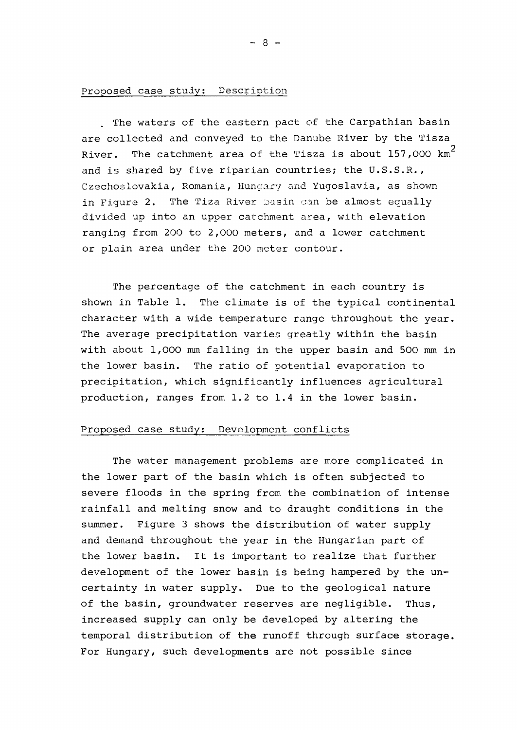## Proposed case study: Description

The waters of the eastern pact of the Carpathian basin are collected and conveyed to the Danube River by the Tisza River. The catchment area of the Tisza is about 157,000  $km^2$ and is shared by five riparian countries; the U.S.S.R., Czechoslovakia, Romania, Hungary and Yugoslavia, as shown in Figure 2. The Tiza River basin can be almost equally divided up into an upper catchment area, with elevation ranging from 200 to 2,000 meters, and a lower catchment or plain area under the 200 meter contour.

The percentage of the catchment in each country is shown in Table 1. The climate is of the typical continental character with a wide temperature range throughout the year. The average precipitation varies greatly within the basin with about  $1,000$  mm falling in the upper basin and 500 mm in the lower basin. The ratio of potential evaporation to precipitation, which significantly influences agricultural production, ranges from 1.2 to 1.4 in the lower basin.

## Proposed case study: Development conflicts

The water management problems are more complicated in the lower part of the basin which is often subjected to severe floods in the spring from the combination of intense rainfall and melting snow and to draught conditions in the summer. Figure 3 shows the distribution of water supply and demand throughout the year in the Hungarian part of the lower basin. It is important to realize that further development of the lower basin is being hampered by the uncertainty in water supply. Due to the geological nature of the basin, groundwater reserves are negligible. Thus, increased supply can only be developed by altering the temporal distribution of the runoff through surface storage. For Hungary, such developments are not possible since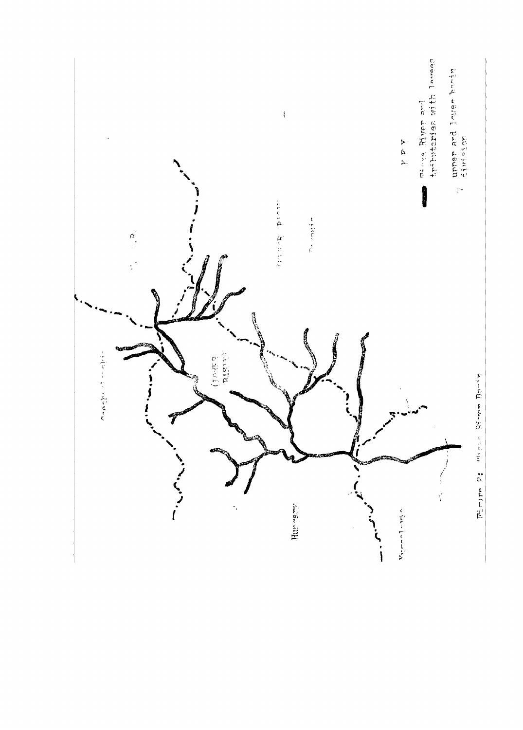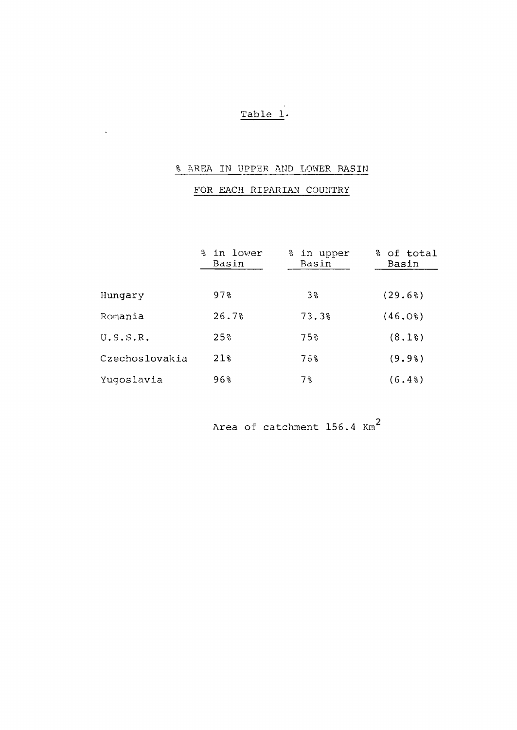# Table 1.

 $\mathcal{L}^{\text{max}}_{\text{max}}$  and  $\mathcal{L}^{\text{max}}_{\text{max}}$ 

## % AREA IN UPPER AND LOWER BASIN

## FOR EACH RIPARIAN COUNTRY

|                | % in lower<br>Basin | % in upper<br>Basin | % of total<br>Basin |
|----------------|---------------------|---------------------|---------------------|
|                |                     |                     |                     |
| Hungary        | 978                 | $3\,$               | (29.68)             |
| Romania        | 26.7%               | 73.3%               | (46.08)             |
| U.S.S.R.       | 25%                 | 75%                 | (8.1)               |
| Czechoslovakia | $21$ %              | 76%                 | (9.98)              |
| Yugoslavia     | 96%                 | $7\,$ s             | (6.4%)              |

Area of catchment 156.4 Km<sup>2</sup>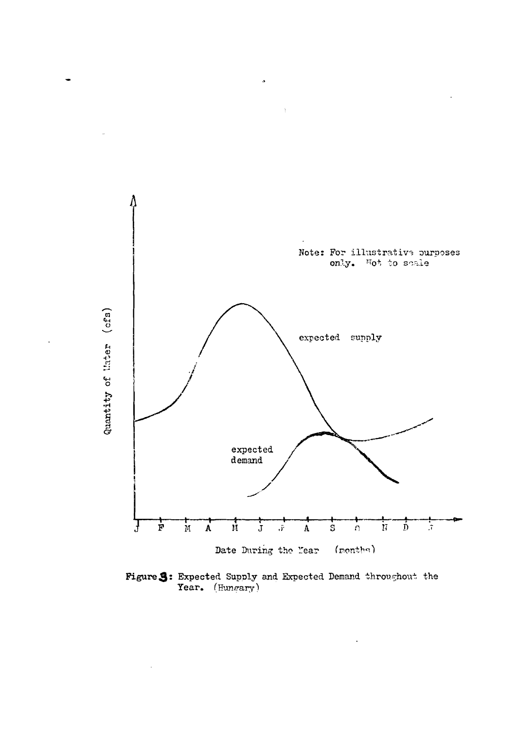

 $\overline{t}$ 

 $\overline{a}$ 

Figure S: Expected Supply and Expected Demand throughout the Year. (Hungary)

 $\ddot{\phantom{a}}$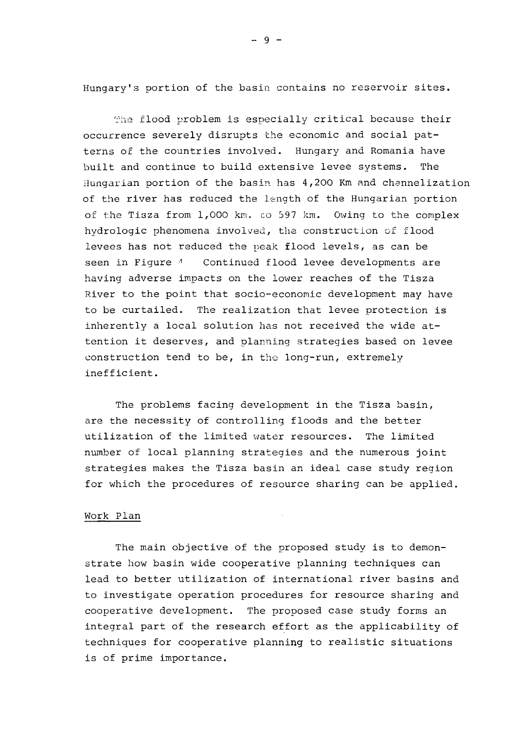Hungary's portion of the basin contains no reservoir sites.

The flood problem is especially critical because their occurrence severely disrupts the economic and social patterns of the countries involved. Hungary and Romania have built and continue to build extensive levee systems. The Hungarian portion of the basin has 4,200 Km and channelization of the river has reduced the length of the Hungarian portion of the Tisza from 1,000 km. to 597 km. Owing to the complex hydrologic phenomena involved, the construction of flood levees has not reduced the peak flood levels, as can be seen in Figure 4 Continued flood levee developments are having adverse impacts on the lower reaches of the Tisza River to the point that socio-economic development may have to be curtailed. The realization that levee protection is inherently <sup>a</sup> local solution has not received the wide attention it deserves, and planning strategies based on levee construction tend to be, in the long-run, extremely inefficient.

The problems facing development in the Tisza basin, are the necessity of controlling floods and the better utilization of the limited water resources. The limited number of local planning strategies and the numerous joint strategies makes the Tisza basin an ideal case study region for which the procedures of resource sharing can be applied.

#### Work Plan

The main objective of the proposed study is to demonstrate how basin wide cooperative planning techniques can lead to better utilization of international river basins and to investigate operation procedures for resource sharing and cooperative development. The proposed case study forms an integral part of the research effort as the applicability of techniques for cooperative planning to realistic situations is of prime importance.

 $-9 -$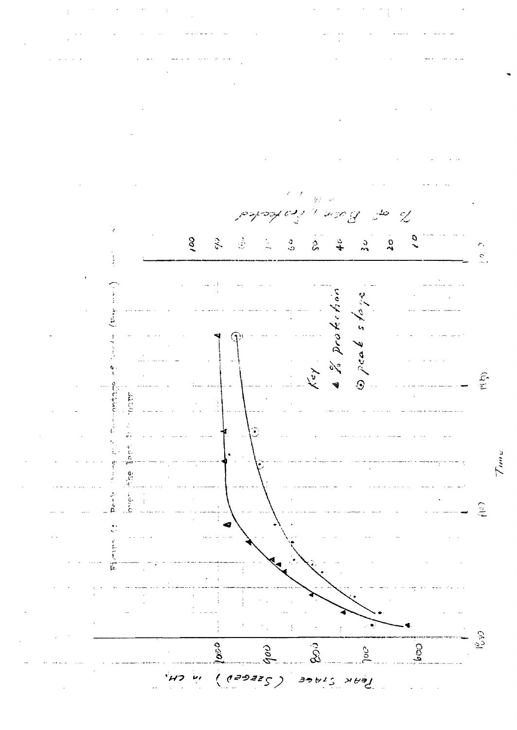



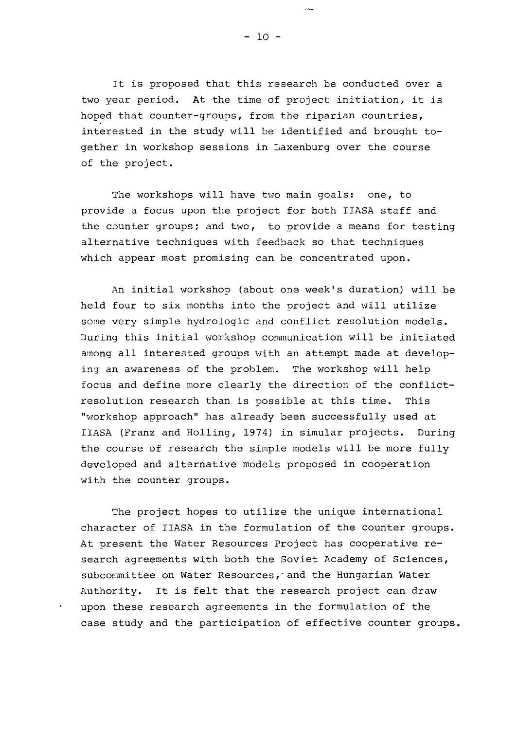It is proposed that this research be conducted over <sup>a</sup> two year period. At the time of project initiation, it is hoped that counter-groups, from the riparian countries, interested in the study will be identified and brought together in workshop sessions in Laxenburg over the course of the project.

The workshops will have two main goals: one, to provide <sup>a</sup> focus upon the project for both IIASA staff and the counter groups; and two, to provide a means for testing alternative techniques with feedback so that techniques which appear most promising can be concentrated upon.

An initial workshop (about one week's duration) will be held four to six months into the project and will utilize some very simple hydrologic and conflict resolution models. During this initial workshop communication will be initiated among all interested groups with an attempt made at developing an awareness of the problem. The workshop will help focus and define more clearly the direction of the conflictresolution research than is possible at this time. This "workshop approach" has already been successfully used at IIASA (Franz and Holling, 1974) in simular projects. During the course of research the simple models will be more fully developed and alternative models proposed in cooperation with the counter groups.

The project hopes to utilize the unique international character of IIASA in the formulation of the counter groups. At present the Water Resources Project has cooperative research agreements with both the Soviet Academy of Sciences, subcommittee on Water Resources, and the Hungarian Water Authority. It is felt that the research project can draw upon these research agreements in the formulation of the case study and the participation of effective counter groups.